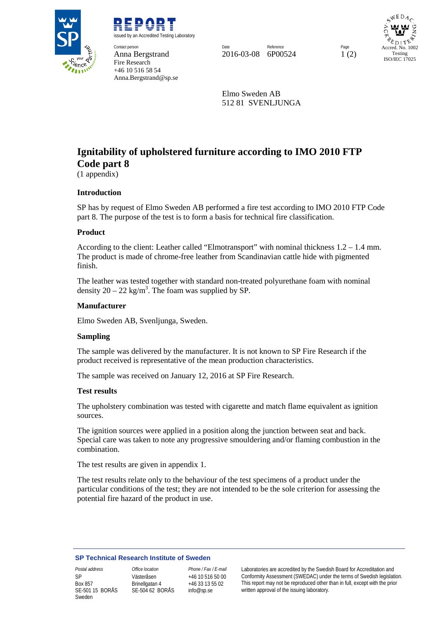

issued by an Accredited Testing Laboratory **Contact person** Contact person **Page Reference** Page Reference Reference Page Reference Page Reference Page Reference Page Reference Page Reference Page Reference Page Reference Page Reference Page Reference Page Reference Page Reference Anna Bergstrand 2016-03-08 6P00524 1 (2) Fire Research

REPORT

+46 10 516 58 54 Anna.Bergstrand@sp.se

 $WEDA$ Accred. No. 1002 Testing ISO/IEC 17025

Elmo Sweden AB 512 81 SVENLJUNGA

# **Ignitability of upholstered furniture according to IMO 2010 FTP Code part 8**

(1 appendix)

## **Introduction**

SP has by request of Elmo Sweden AB performed a fire test according to IMO 2010 FTP Code part 8. The purpose of the test is to form a basis for technical fire classification.

## **Product**

According to the client: Leather called "Elmotransport" with nominal thickness 1.2 – 1.4 mm. The product is made of chrome-free leather from Scandinavian cattle hide with pigmented finish.

The leather was tested together with standard non-treated polyurethane foam with nominal density  $20 - 22$  kg/m<sup>3</sup>. The foam was supplied by SP.

## **Manufacturer**

Elmo Sweden AB, Svenljunga, Sweden.

## **Sampling**

The sample was delivered by the manufacturer. It is not known to SP Fire Research if the product received is representative of the mean production characteristics.

The sample was received on January 12, 2016 at SP Fire Research.

## **Test results**

The upholstery combination was tested with cigarette and match flame equivalent as ignition sources.

The ignition sources were applied in a position along the junction between seat and back. Special care was taken to note any progressive smouldering and/or flaming combustion in the combination.

The test results are given in appendix 1.

The test results relate only to the behaviour of the test specimens of a product under the particular conditions of the test; they are not intended to be the sole criterion for assessing the potential fire hazard of the product in use.

#### **SP Technical Research Institute of Sweden**

SP Box 857 SE-501 15 BORÅS Sweden

Västeråsen Brinellgatan 4 SE-504 62 BORÅS

+46 10 516 50 00 +46 33 13 55 02 info@sp.se

*Postal address Office location Phone / Fax / E-mail* Laboratories are accredited by the Swedish Board for Accreditation and Conformity Assessment (SWEDAC) under the terms of Swedish legislation. This report may not be reproduced other than in full, except with the prior written approval of the issuing laboratory.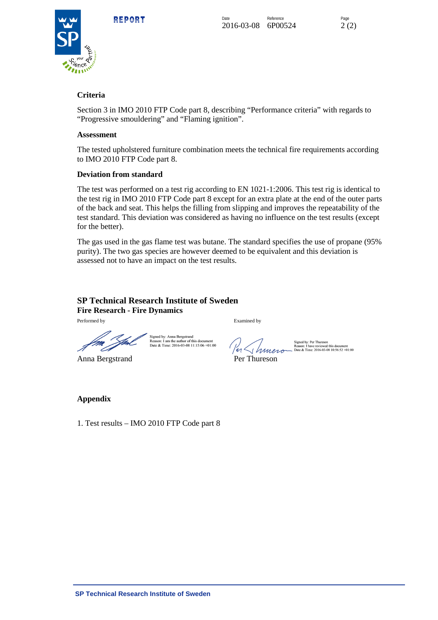



# **Criteria**

Section 3 in IMO 2010 FTP Code part 8, describing "Performance criteria" with regards to "Progressive smouldering" and "Flaming ignition".

#### **Assessment**

The tested upholstered furniture combination meets the technical fire requirements according to IMO 2010 FTP Code part 8.

## **Deviation from standard**

The test was performed on a test rig according to EN 1021-1:2006. This test rig is identical to the test rig in IMO 2010 FTP Code part 8 except for an extra plate at the end of the outer parts of the back and seat. This helps the filling from slipping and improves the repeatability of the test standard. This deviation was considered as having no influence on the test results (except for the better).

The gas used in the gas flame test was butane. The standard specifies the use of propane (95% purity). The two gas species are however deemed to be equivalent and this deviation is assessed not to have an impact on the test results.

## **SP Technical Research Institute of Sweden Fire Research - Fire Dynamics**

Performed by Examined by

Anna Bergstrand Per Thureson

Signed by: Anna Bergstrand<br>Reason: I am the author of this document<br>Date & Time: 2016-03-08 11:15:06 +01:00  $\frac{1}{2}$   $\frac{1}{2}$   $\frac{1}{2}$   $\frac{1}{2}$   $\frac{1}{2}$   $\frac{1}{2}$   $\frac{1}{2}$   $\frac{1}{2}$   $\frac{1}{2}$   $\frac{1}{2}$   $\frac{1}{2}$   $\frac{1}{2}$   $\frac{1}{2}$   $\frac{1}{2}$   $\frac{1}{2}$   $\frac{1}{2}$   $\frac{1}{2}$   $\frac{1}{2}$   $\frac{1}{2}$   $\frac{1}{2}$   $\frac{1}{2}$   $\frac{1}{2}$ 

Signed by: Per Thureson<br>Reason: I have reviewed this document<br>Date & Time: 2016-03-08 10:56:52 +01:00

## **Appendix**

1. Test results – IMO 2010 FTP Code part 8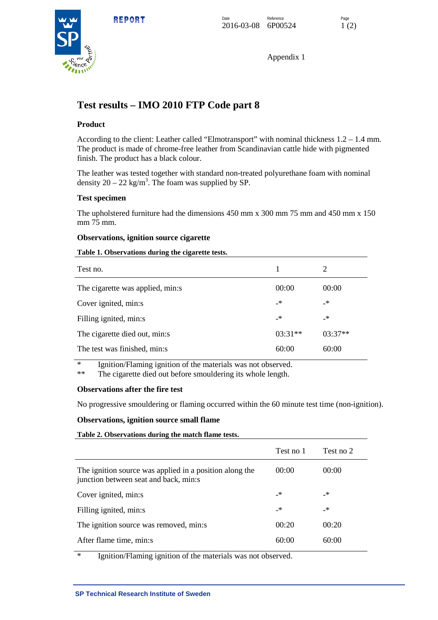



Appendix 1

# **Test results – IMO 2010 FTP Code part 8**

# **Product**

According to the client: Leather called "Elmotransport" with nominal thickness 1.2 – 1.4 mm. The product is made of chrome-free leather from Scandinavian cattle hide with pigmented finish. The product has a black colour.

The leather was tested together with standard non-treated polyurethane foam with nominal density  $20 - 22$  kg/m<sup>3</sup>. The foam was supplied by SP.

# **Test specimen**

The upholstered furniture had the dimensions 450 mm x 300 mm 75 mm and 450 mm x 150 mm 75 mm.

## **Observations, ignition source cigarette**

## **Table 1. Observations during the cigarette tests.**

|           | 2         |
|-----------|-----------|
| 00:00     | 00:00     |
| _*        | _*        |
| _*        | _*        |
| $03:31**$ | $03:37**$ |
| 60:00     | 60:00     |
|           |           |

\* Ignition/Flaming ignition of the materials was not observed.

The cigarette died out before smouldering its whole length.

## **Observations after the fire test**

No progressive smouldering or flaming occurred within the 60 minute test time (non-ignition).

## **Observations, ignition source small flame**

| Table 2. Observations during the match flame tests.                                              |           |           |
|--------------------------------------------------------------------------------------------------|-----------|-----------|
|                                                                                                  | Test no 1 | Test no 2 |
| The ignition source was applied in a position along the<br>junction between seat and back, min:s | 00:00     | 00:00     |
| Cover ignited, min:s                                                                             | _*        | _*        |
| Filling ignited, min:s                                                                           | _*        | _*        |
| The ignition source was removed, min:s                                                           | 00:20     | 00:20     |
| After flame time, min:s                                                                          | 60:00     | 60:00     |
| .<br>$\sim$ $\sim$<br>$\sim$ $\sim$                                                              |           |           |

\* Ignition/Flaming ignition of the materials was not observed.